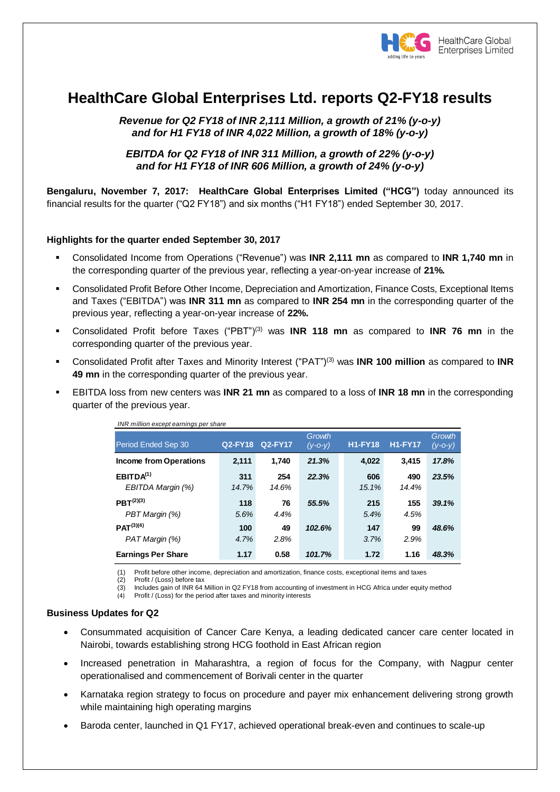

# **HealthCare Global Enterprises Ltd. reports Q2-FY18 results**

*Revenue for Q2 FY18 of INR 2,111 Million, a growth of 21% (y-o-y) and for H1 FY18 of INR 4,022 Million, a growth of 18% (y-o-y)* 

*EBITDA for Q2 FY18 of INR 311 Million, a growth of 22% (y-o-y) and for H1 FY18 of INR 606 Million, a growth of 24% (y-o-y)*

**Bengaluru, November 7, 2017: HealthCare Global Enterprises Limited ("HCG")** today announced its financial results for the quarter ("Q2 FY18") and six months ("H1 FY18") ended September 30, 2017.

### **Highlights for the quarter ended September 30, 2017**

- Consolidated Income from Operations ("Revenue") was **INR 2,111 mn** as compared to **INR 1,740 mn** in the corresponding quarter of the previous year, reflecting a year-on-year increase of **21%.**
- Consolidated Profit Before Other Income, Depreciation and Amortization, Finance Costs, Exceptional Items and Taxes ("EBITDA") was **INR 311 mn** as compared to **INR 254 mn** in the corresponding quarter of the previous year, reflecting a year-on-year increase of **22%.**
- Consolidated Profit before Taxes ("PBT")(3) was **INR 118 mn** as compared to **INR 76 mn** in the corresponding quarter of the previous year.
- Consolidated Profit after Taxes and Minority Interest ("PAT") (3) was **INR 100 million** as compared to **INR 49 mn** in the corresponding quarter of the previous year.
- EBITDA loss from new centers was **INR 21 mn** as compared to a loss of **INR 18 mn** in the corresponding quarter of the previous year.

| INR million except earnings per share                                                                                                                                                                                                                                                                                                                                      |                |                |                     |                |                |                         |
|----------------------------------------------------------------------------------------------------------------------------------------------------------------------------------------------------------------------------------------------------------------------------------------------------------------------------------------------------------------------------|----------------|----------------|---------------------|----------------|----------------|-------------------------|
| Period Ended Sep 30                                                                                                                                                                                                                                                                                                                                                        | <b>Q2-FY18</b> | <b>Q2-FY17</b> | Growth<br>$(V-O-V)$ | <b>H1-FY18</b> | <b>H1-FY17</b> | Growth<br>$(y - 0 - y)$ |
| <b>Income from Operations</b>                                                                                                                                                                                                                                                                                                                                              | 2,111          | 1,740          | 21.3%               | 4,022          | 3,415          | 17.8%                   |
| EBITDA <sup>(1)</sup><br>EBITDA Margin (%)                                                                                                                                                                                                                                                                                                                                 | 311<br>14.7%   | 254<br>14.6%   | 22.3%               | 606<br>15.1%   | 490<br>14.4%   | 23.5%                   |
| $PBT^{(2)(3)}$<br>PBT Margin (%)                                                                                                                                                                                                                                                                                                                                           | 118<br>5.6%    | 76<br>4.4%     | 55.5%               | 215<br>5.4%    | 155<br>4.5%    | 39.1%                   |
| $PAT^{(3)(4)}$<br>PAT Margin (%)                                                                                                                                                                                                                                                                                                                                           | 100<br>4.7%    | 49<br>2.8%     | 102.6%              | 147<br>3.7%    | 99<br>2.9%     | 48.6%                   |
| <b>Earnings Per Share</b>                                                                                                                                                                                                                                                                                                                                                  | 1.17           | 0.58           | 101.7%              | 1.72           | 1.16           | 48.3%                   |
| Profit before other income, depreciation and amortization, finance costs, exceptional items and taxes<br>(1)<br>Profit / (Loss) before tax<br>(2)<br>Includes gain of INR 64 Million in Q2 FY18 from accounting of investment in HCG Africa under equity method<br>(3)<br>Profit / (Loss) for the period after taxes and minority interests<br>(4)<br>iness Updates for Q2 |                |                |                     |                |                |                         |
| Consummated acquisition of Cancer Care Kenya, a leading dedicated cancer care center local<br>$\bullet$<br>Nairobi, towards establishing strong HCG foothold in East African region                                                                                                                                                                                        |                |                |                     |                |                |                         |
| Increased penetration in Maharashtra, a region of focus for the Company, with Nagpur<br>$\bullet$<br>operationalised and commencement of Borivali center in the quarter                                                                                                                                                                                                    |                |                |                     |                |                |                         |
| Karnataka region strategy to focus on procedure and payer mix enhancement delivering strong<br>$\bullet$<br>while maintaining high operating margins                                                                                                                                                                                                                       |                |                |                     |                |                |                         |
| Baroda center, launched in Q1 FY17, achieved operational break-even and continues to scale-up<br>$\bullet$                                                                                                                                                                                                                                                                 |                |                |                     |                |                |                         |

### **Business Updates for Q2**

- Consummated acquisition of Cancer Care Kenya, a leading dedicated cancer care center located in Nairobi, towards establishing strong HCG foothold in East African region
- Increased penetration in Maharashtra, a region of focus for the Company, with Nagpur center operationalised and commencement of Borivali center in the quarter
- Karnataka region strategy to focus on procedure and payer mix enhancement delivering strong growth while maintaining high operating margins
-